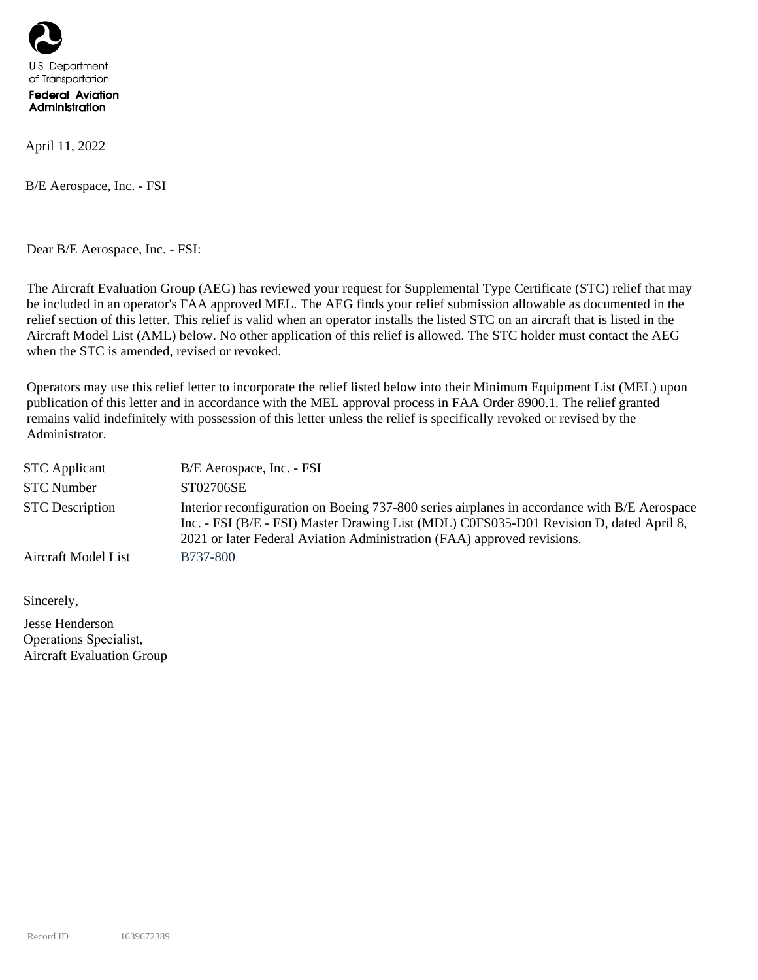

April 11, 2022

B/E Aerospace, Inc. - FSI

Dear B/E Aerospace, Inc. - FSI:

The Aircraft Evaluation Group (AEG) has reviewed your request for Supplemental Type Certificate (STC) relief that may be included in an operator's FAA approved MEL. The AEG finds your relief submission allowable as documented in the relief section of this letter. This relief is valid when an operator installs the listed STC on an aircraft that is listed in the Aircraft Model List (AML) below. No other application of this relief is allowed. The STC holder must contact the AEG when the STC is amended, revised or revoked.

Operators may use this relief letter to incorporate the relief listed below into their Minimum Equipment List (MEL) upon publication of this letter and in accordance with the MEL approval process in FAA Order 8900.1. The relief granted remains valid indefinitely with possession of this letter unless the relief is specifically revoked or revised by the Administrator.

| <b>STC</b> Applicant   | B/E Aerospace, Inc. - FSI                                                                                                                                                                                                                                          |
|------------------------|--------------------------------------------------------------------------------------------------------------------------------------------------------------------------------------------------------------------------------------------------------------------|
| <b>STC</b> Number      | ST02706SE                                                                                                                                                                                                                                                          |
| <b>STC</b> Description | Interior reconfiguration on Boeing 737-800 series airplanes in accordance with B/E Aerospace<br>Inc. - FSI (B/E - FSI) Master Drawing List (MDL) C0FS035-D01 Revision D, dated April 8,<br>2021 or later Federal Aviation Administration (FAA) approved revisions. |
| Aircraft Model List    | B737-800                                                                                                                                                                                                                                                           |

Sincerely,

Jesse Henderson Operations Specialist, Aircraft Evaluation Group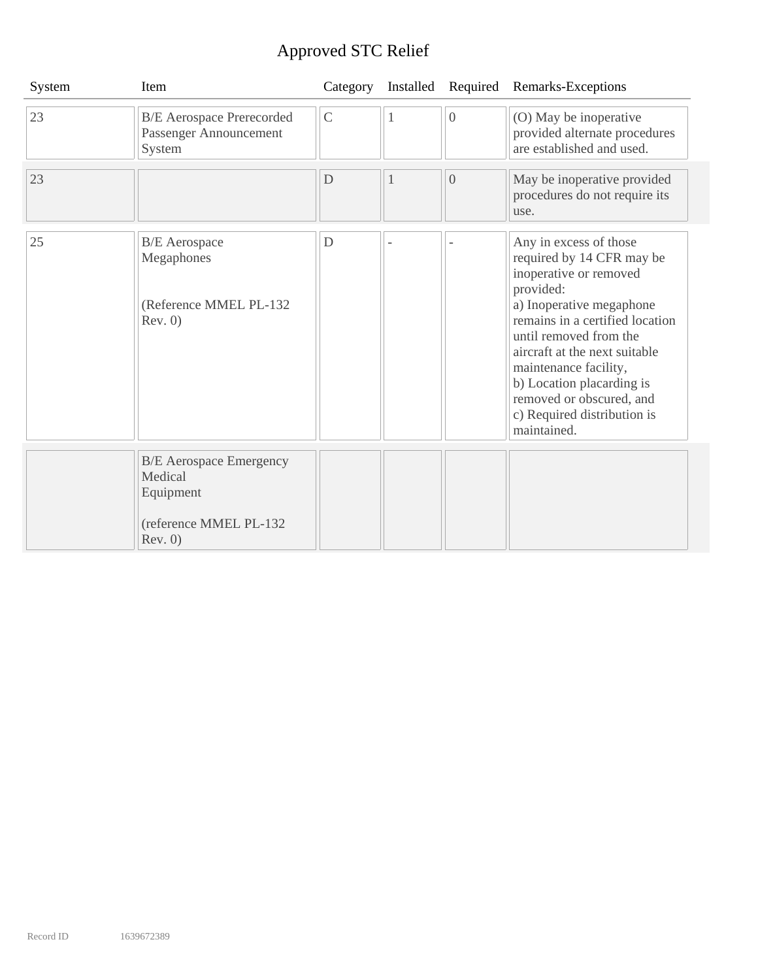## Approved STC Relief

| System | Item                                                                                        | Category      | Installed | Required       | Remarks-Exceptions                                                                                                                                                                                                                                                                                                                                   |
|--------|---------------------------------------------------------------------------------------------|---------------|-----------|----------------|------------------------------------------------------------------------------------------------------------------------------------------------------------------------------------------------------------------------------------------------------------------------------------------------------------------------------------------------------|
| 23     | <b>B/E</b> Aerospace Prerecorded<br>Passenger Announcement<br>System                        | $\mathcal{C}$ | 1         | $\overline{0}$ | (O) May be inoperative<br>provided alternate procedures<br>are established and used.                                                                                                                                                                                                                                                                 |
| 23     |                                                                                             | D             | 1         | $\overline{0}$ | May be inoperative provided<br>procedures do not require its<br>use.                                                                                                                                                                                                                                                                                 |
| 25     | <b>B/E</b> Aerospace<br>Megaphones<br>(Reference MMEL PL-132<br>Rev. 0)                     | D             |           |                | Any in excess of those<br>required by 14 CFR may be<br>inoperative or removed<br>provided:<br>a) Inoperative megaphone<br>remains in a certified location<br>until removed from the<br>aircraft at the next suitable<br>maintenance facility,<br>b) Location placarding is<br>removed or obscured, and<br>c) Required distribution is<br>maintained. |
|        | <b>B/E</b> Aerospace Emergency<br>Medical<br>Equipment<br>(reference MMEL PL-132<br>Rev. 0) |               |           |                |                                                                                                                                                                                                                                                                                                                                                      |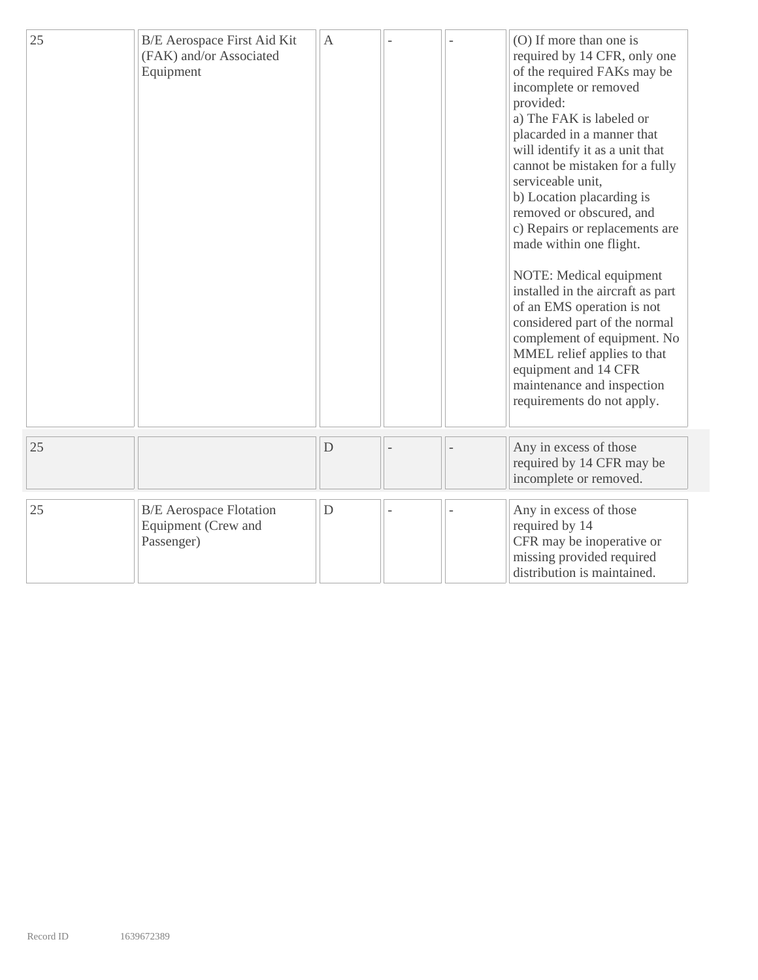| 25 | B/E Aerospace First Aid Kit<br>(FAK) and/or Associated<br>Equipment | A           |  | (O) If more than one is<br>required by 14 CFR, only one<br>of the required FAKs may be<br>incomplete or removed<br>provided:<br>a) The FAK is labeled or<br>placarded in a manner that<br>will identify it as a unit that<br>cannot be mistaken for a fully<br>serviceable unit,<br>b) Location placarding is<br>removed or obscured, and<br>c) Repairs or replacements are<br>made within one flight.<br>NOTE: Medical equipment<br>installed in the aircraft as part<br>of an EMS operation is not<br>considered part of the normal<br>complement of equipment. No<br>MMEL relief applies to that<br>equipment and 14 CFR<br>maintenance and inspection<br>requirements do not apply. |
|----|---------------------------------------------------------------------|-------------|--|-----------------------------------------------------------------------------------------------------------------------------------------------------------------------------------------------------------------------------------------------------------------------------------------------------------------------------------------------------------------------------------------------------------------------------------------------------------------------------------------------------------------------------------------------------------------------------------------------------------------------------------------------------------------------------------------|
| 25 |                                                                     | D           |  | Any in excess of those<br>required by 14 CFR may be<br>incomplete or removed.                                                                                                                                                                                                                                                                                                                                                                                                                                                                                                                                                                                                           |
| 25 | <b>B/E</b> Aerospace Flotation<br>Equipment (Crew and<br>Passenger) | $\mathbf D$ |  | Any in excess of those<br>required by 14<br>CFR may be inoperative or<br>missing provided required<br>distribution is maintained.                                                                                                                                                                                                                                                                                                                                                                                                                                                                                                                                                       |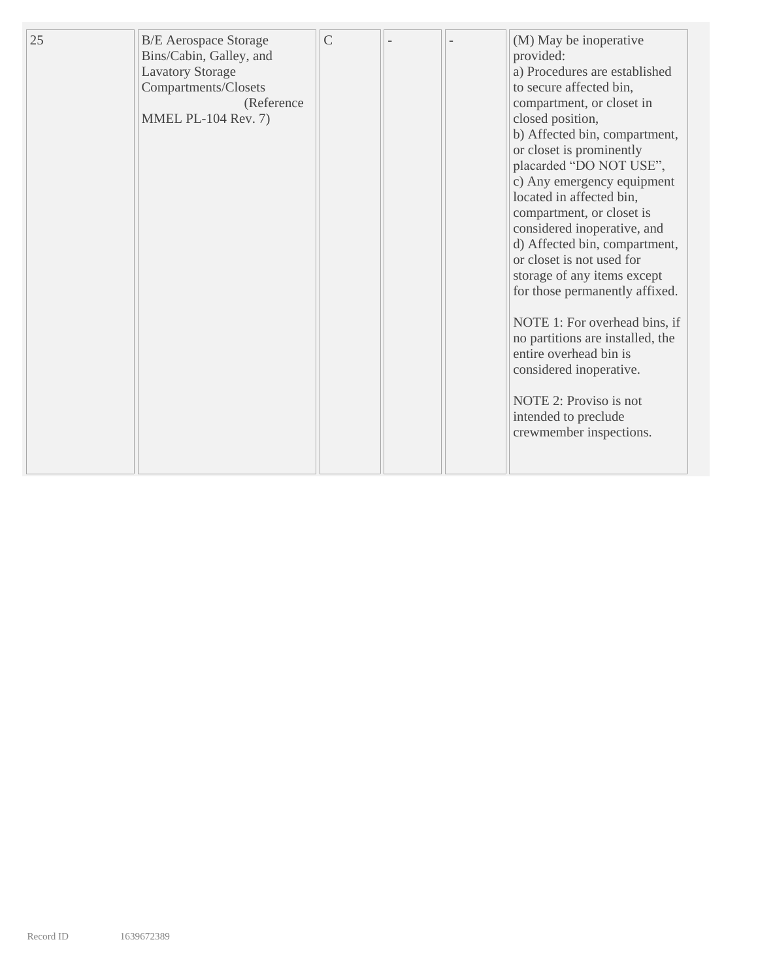| 25 | <b>B/E</b> Aerospace Storage<br>Bins/Cabin, Galley, and<br><b>Lavatory Storage</b><br>Compartments/Closets<br>(Reference<br><b>MMEL PL-104 Rev. 7)</b> | $\mathcal{C}$ |  | (M) May be inoperative<br>provided:<br>a) Procedures are established<br>to secure affected bin,<br>compartment, or closet in<br>closed position,<br>b) Affected bin, compartment,<br>or closet is prominently<br>placarded "DO NOT USE",<br>c) Any emergency equipment<br>located in affected bin,<br>compartment, or closet is<br>considered inoperative, and<br>d) Affected bin, compartment,<br>or closet is not used for<br>storage of any items except<br>for those permanently affixed.<br>NOTE 1: For overhead bins, if<br>no partitions are installed, the<br>entire overhead bin is<br>considered inoperative.<br>NOTE 2: Proviso is not<br>intended to preclude |
|----|--------------------------------------------------------------------------------------------------------------------------------------------------------|---------------|--|---------------------------------------------------------------------------------------------------------------------------------------------------------------------------------------------------------------------------------------------------------------------------------------------------------------------------------------------------------------------------------------------------------------------------------------------------------------------------------------------------------------------------------------------------------------------------------------------------------------------------------------------------------------------------|
|    |                                                                                                                                                        |               |  | crewmember inspections.                                                                                                                                                                                                                                                                                                                                                                                                                                                                                                                                                                                                                                                   |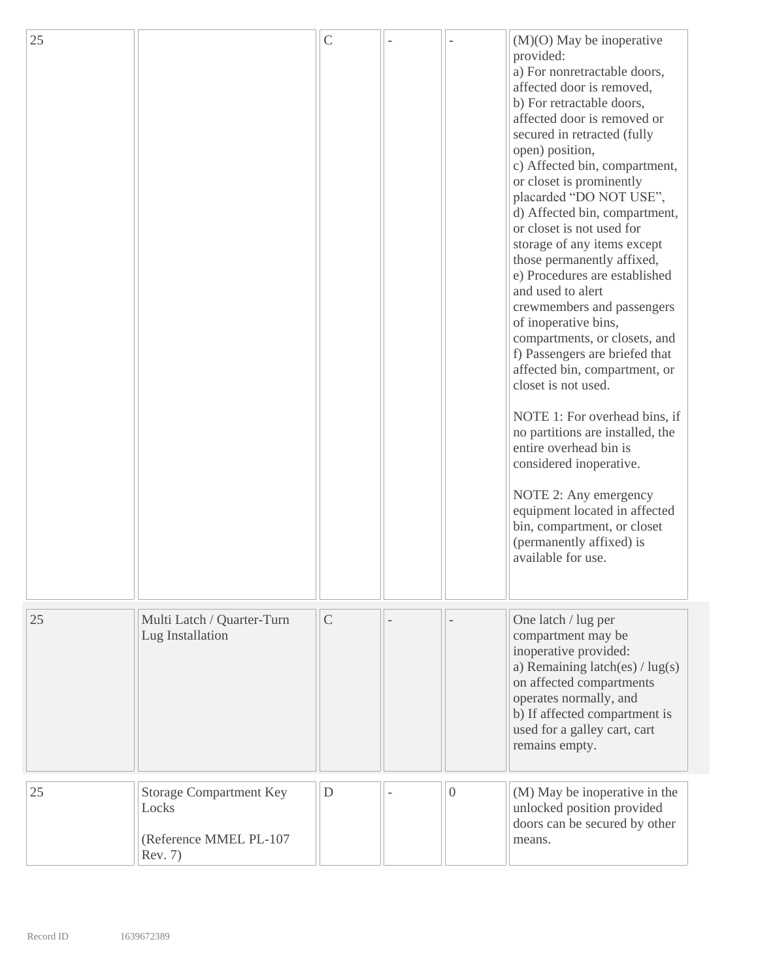| 25 |                                                                              | $\mathcal{C}$ |                | $(M)(O)$ May be inoperative<br>provided:<br>a) For nonretractable doors,<br>affected door is removed,<br>b) For retractable doors,<br>affected door is removed or<br>secured in retracted (fully<br>open) position,<br>c) Affected bin, compartment,<br>or closet is prominently<br>placarded "DO NOT USE",<br>d) Affected bin, compartment,<br>or closet is not used for<br>storage of any items except<br>those permanently affixed,<br>e) Procedures are established<br>and used to alert<br>crewmembers and passengers<br>of inoperative bins,<br>compartments, or closets, and<br>f) Passengers are briefed that<br>affected bin, compartment, or<br>closet is not used.<br>NOTE 1: For overhead bins, if<br>no partitions are installed, the<br>entire overhead bin is<br>considered inoperative.<br>NOTE 2: Any emergency<br>equipment located in affected<br>bin, compartment, or closet<br>(permanently affixed) is<br>available for use. |
|----|------------------------------------------------------------------------------|---------------|----------------|----------------------------------------------------------------------------------------------------------------------------------------------------------------------------------------------------------------------------------------------------------------------------------------------------------------------------------------------------------------------------------------------------------------------------------------------------------------------------------------------------------------------------------------------------------------------------------------------------------------------------------------------------------------------------------------------------------------------------------------------------------------------------------------------------------------------------------------------------------------------------------------------------------------------------------------------------|
| 25 | Multi Latch / Quarter-Turn<br>Lug Installation                               | $\mathsf{C}$  |                | One latch / lug per<br>compartment may be<br>inoperative provided:<br>a) Remaining latch(es) / lug(s)<br>on affected compartments<br>operates normally, and<br>b) If affected compartment is<br>used for a galley cart, cart<br>remains empty.                                                                                                                                                                                                                                                                                                                                                                                                                                                                                                                                                                                                                                                                                                     |
| 25 | <b>Storage Compartment Key</b><br>Locks<br>(Reference MMEL PL-107<br>Rev. 7) | D             | $\overline{0}$ | (M) May be inoperative in the<br>unlocked position provided<br>doors can be secured by other<br>means.                                                                                                                                                                                                                                                                                                                                                                                                                                                                                                                                                                                                                                                                                                                                                                                                                                             |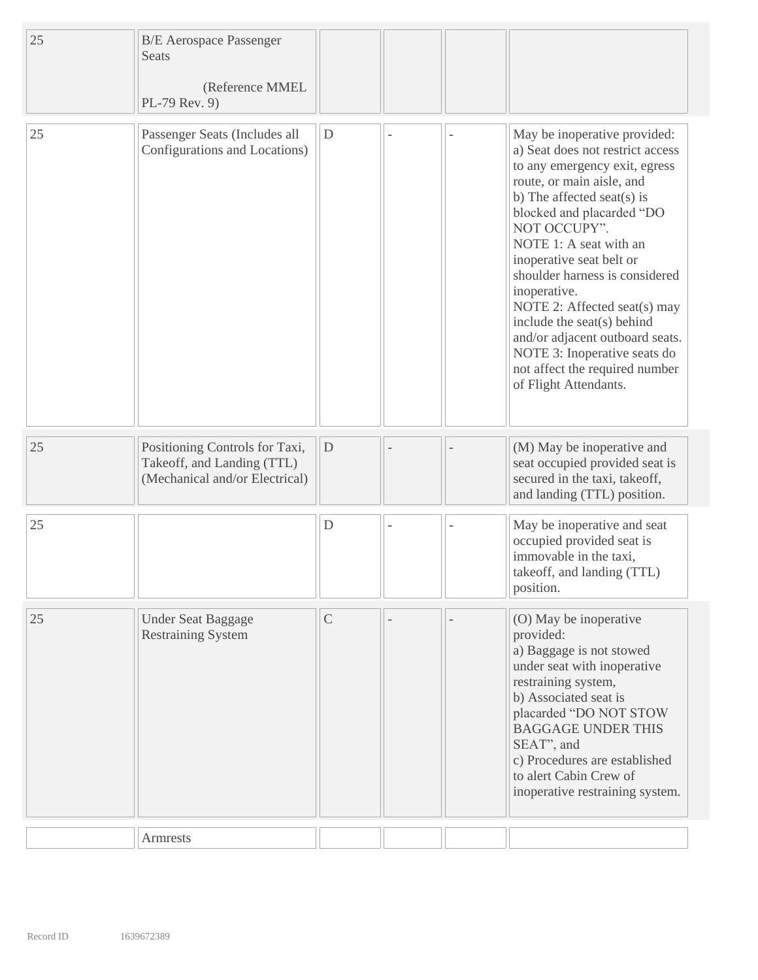| 25 | <b>B/E</b> Aerospace Passenger<br>Seats<br>(Reference MMEL<br>PL-79 Rev. 9)                    |               |  |                                                                                                                                                                                                                                                                                                                                                                                                                                                                                                               |
|----|------------------------------------------------------------------------------------------------|---------------|--|---------------------------------------------------------------------------------------------------------------------------------------------------------------------------------------------------------------------------------------------------------------------------------------------------------------------------------------------------------------------------------------------------------------------------------------------------------------------------------------------------------------|
| 25 | Passenger Seats (Includes all<br>Configurations and Locations)                                 | $\mathbf D$   |  | May be inoperative provided:<br>a) Seat does not restrict access<br>to any emergency exit, egress<br>route, or main aisle, and<br>b) The affected seat(s) is<br>blocked and placarded "DO<br>NOT OCCUPY".<br>NOTE 1: A seat with an<br>inoperative seat belt or<br>shoulder harness is considered<br>inoperative.<br>NOTE 2: Affected seat(s) may<br>include the seat(s) behind<br>and/or adjacent outboard seats.<br>NOTE 3: Inoperative seats do<br>not affect the required number<br>of Flight Attendants. |
| 25 | Positioning Controls for Taxi,<br>Takeoff, and Landing (TTL)<br>(Mechanical and/or Electrical) | D             |  | (M) May be inoperative and<br>seat occupied provided seat is<br>secured in the taxi, takeoff,<br>and landing (TTL) position.                                                                                                                                                                                                                                                                                                                                                                                  |
| 25 |                                                                                                | D             |  | May be inoperative and seat<br>occupied provided seat is<br>immovable in the taxi,<br>takeoff, and landing (TTL)<br>position.                                                                                                                                                                                                                                                                                                                                                                                 |
| 25 | <b>Under Seat Baggage</b><br><b>Restraining System</b>                                         | $\mathcal{C}$ |  | (O) May be inoperative<br>provided:<br>a) Baggage is not stowed<br>under seat with inoperative<br>restraining system,<br>b) Associated seat is<br>placarded "DO NOT STOW<br><b>BAGGAGE UNDER THIS</b><br>SEAT", and<br>c) Procedures are established<br>to alert Cabin Crew of<br>inoperative restraining system.                                                                                                                                                                                             |
|    | <b>Armrests</b>                                                                                |               |  |                                                                                                                                                                                                                                                                                                                                                                                                                                                                                                               |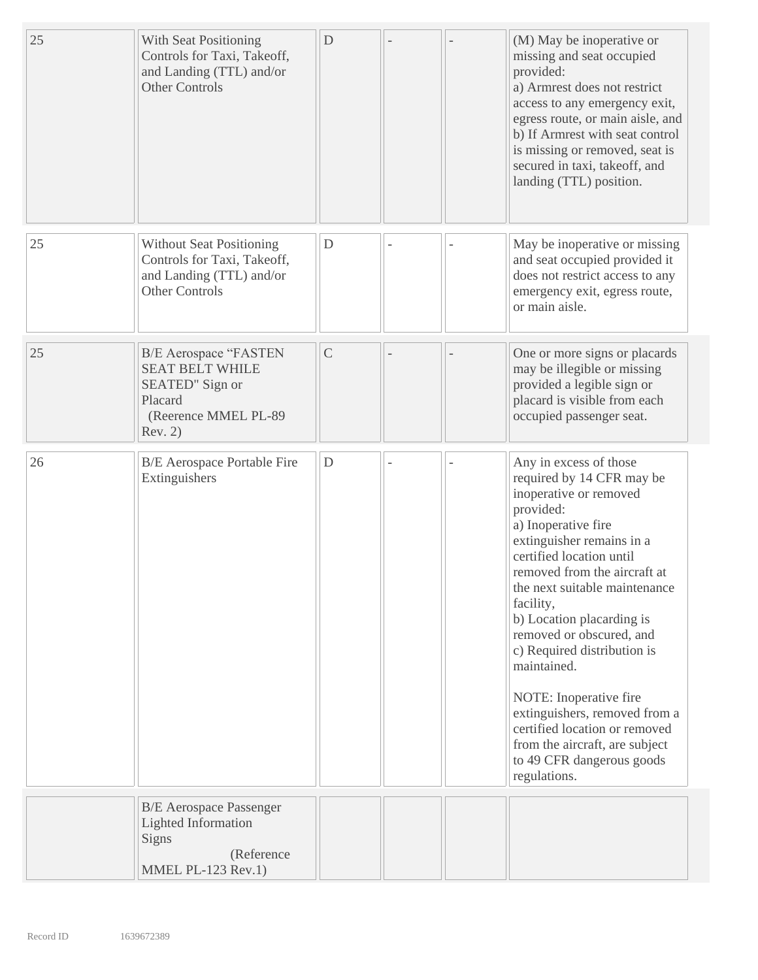| 25 | With Seat Positioning<br>Controls for Taxi, Takeoff,<br>and Landing (TTL) and/or<br><b>Other Controls</b>               | $\mathbf D$  |  | (M) May be inoperative or<br>missing and seat occupied<br>provided:<br>a) Armrest does not restrict<br>access to any emergency exit,<br>egress route, or main aisle, and<br>b) If Armrest with seat control<br>is missing or removed, seat is<br>secured in taxi, takeoff, and<br>landing (TTL) position.                                                                                                                                                                                                                                  |
|----|-------------------------------------------------------------------------------------------------------------------------|--------------|--|--------------------------------------------------------------------------------------------------------------------------------------------------------------------------------------------------------------------------------------------------------------------------------------------------------------------------------------------------------------------------------------------------------------------------------------------------------------------------------------------------------------------------------------------|
| 25 | <b>Without Seat Positioning</b><br>Controls for Taxi, Takeoff,<br>and Landing (TTL) and/or<br><b>Other Controls</b>     | D            |  | May be inoperative or missing<br>and seat occupied provided it<br>does not restrict access to any<br>emergency exit, egress route,<br>or main aisle.                                                                                                                                                                                                                                                                                                                                                                                       |
| 25 | <b>B/E</b> Aerospace "FASTEN<br><b>SEAT BELT WHILE</b><br>SEATED" Sign or<br>Placard<br>(Reerence MMEL PL-89<br>Rev. 2) | $\mathsf{C}$ |  | One or more signs or placards<br>may be illegible or missing<br>provided a legible sign or<br>placard is visible from each<br>occupied passenger seat.                                                                                                                                                                                                                                                                                                                                                                                     |
| 26 | <b>B/E</b> Aerospace Portable Fire<br>Extinguishers                                                                     | D            |  | Any in excess of those<br>required by 14 CFR may be<br>inoperative or removed<br>provided:<br>a) Inoperative fire<br>extinguisher remains in a<br>certified location until<br>removed from the aircraft at<br>the next suitable maintenance<br>facility,<br>b) Location placarding is<br>removed or obscured, and<br>c) Required distribution is<br>maintained.<br>NOTE: Inoperative fire<br>extinguishers, removed from a<br>certified location or removed<br>from the aircraft, are subject<br>to 49 CFR dangerous goods<br>regulations. |
|    | <b>B/E</b> Aerospace Passenger<br><b>Lighted Information</b><br><b>Signs</b><br>(Reference<br>MMEL PL-123 Rev.1)        |              |  |                                                                                                                                                                                                                                                                                                                                                                                                                                                                                                                                            |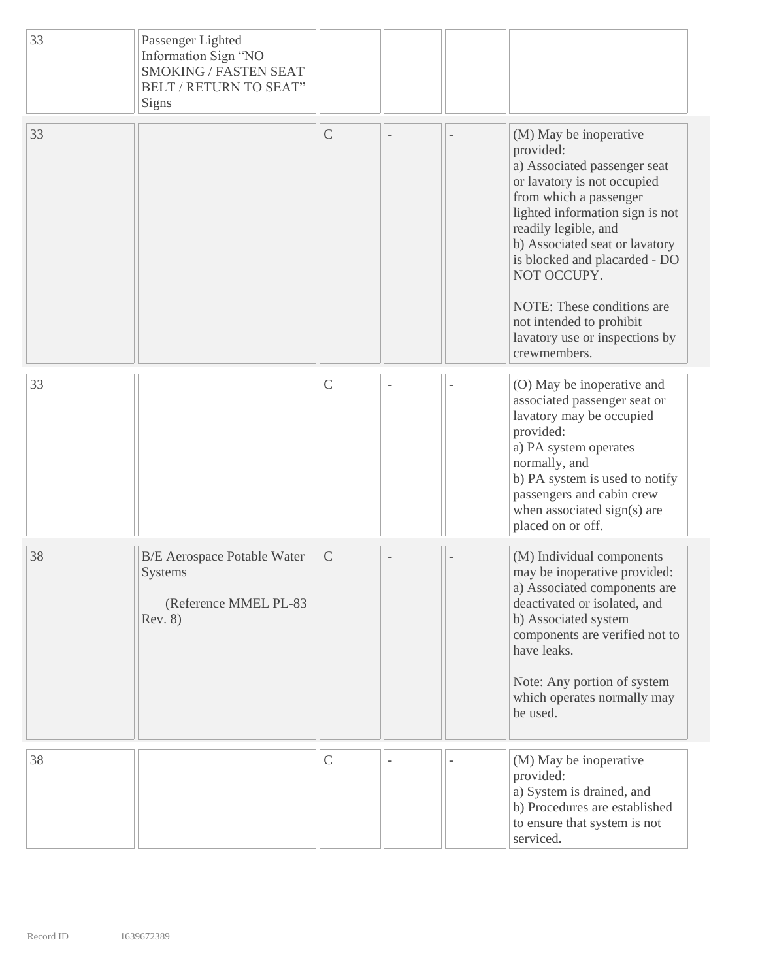| 33 | Passenger Lighted<br>Information Sign "NO<br><b>SMOKING / FASTEN SEAT</b><br><b>BELT / RETURN TO SEAT"</b><br>Signs |               |  |                                                                                                                                                                                                                                                                                                                                                                                       |
|----|---------------------------------------------------------------------------------------------------------------------|---------------|--|---------------------------------------------------------------------------------------------------------------------------------------------------------------------------------------------------------------------------------------------------------------------------------------------------------------------------------------------------------------------------------------|
| 33 |                                                                                                                     | $\mathsf C$   |  | (M) May be inoperative<br>provided:<br>a) Associated passenger seat<br>or lavatory is not occupied<br>from which a passenger<br>lighted information sign is not<br>readily legible, and<br>b) Associated seat or lavatory<br>is blocked and placarded - DO<br>NOT OCCUPY.<br>NOTE: These conditions are<br>not intended to prohibit<br>lavatory use or inspections by<br>crewmembers. |
| 33 |                                                                                                                     | $\mathsf{C}$  |  | (O) May be inoperative and<br>associated passenger seat or<br>lavatory may be occupied<br>provided:<br>a) PA system operates<br>normally, and<br>b) PA system is used to notify<br>passengers and cabin crew<br>when associated sign(s) are<br>placed on or off.                                                                                                                      |
| 38 | <b>B/E</b> Aerospace Potable Water<br><b>Systems</b><br>(Reference MMEL PL-83<br>Rev. 8)                            | $\mathcal{C}$ |  | (M) Individual components<br>may be inoperative provided:<br>a) Associated components are<br>deactivated or isolated, and<br>b) Associated system<br>components are verified not to<br>have leaks.<br>Note: Any portion of system<br>which operates normally may<br>be used.                                                                                                          |
| 38 |                                                                                                                     | $\mathsf{C}$  |  | (M) May be inoperative<br>provided:<br>a) System is drained, and<br>b) Procedures are established<br>to ensure that system is not<br>serviced.                                                                                                                                                                                                                                        |